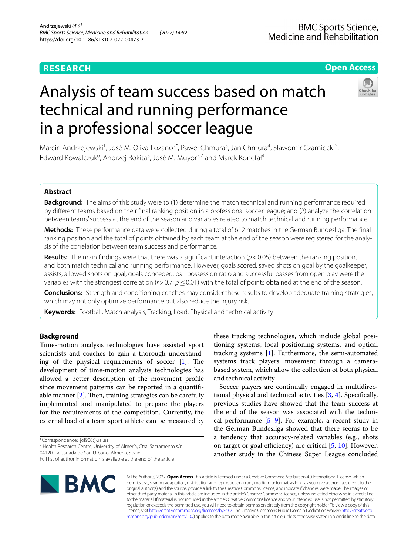## **RESEARCH**

## **Open Access**

# Analysis of team success based on match technical and running performance in a professional soccer league



Marcin Andrzejewski<sup>1</sup>, José M. Oliva-Lozano<sup>2\*</sup>, Paweł Chmura<sup>3</sup>, Jan Chmura<sup>4</sup>, Sławomir Czarniecki<sup>5</sup>, Edward Kowalczuk<sup>6</sup>, Andrzej Rokita<sup>3</sup>, José M. Muyor<sup>2,7</sup> and Marek Konefał<sup>4</sup>

## **Abstract**

**Background:** The aims of this study were to (1) determine the match technical and running performance required by diferent teams based on their fnal ranking position in a professional soccer league; and (2) analyze the correlation between teams' success at the end of the season and variables related to match technical and running performance.

**Methods:** These performance data were collected during a total of 612 matches in the German Bundesliga. The fnal ranking position and the total of points obtained by each team at the end of the season were registered for the analysis of the correlation between team success and performance.

**Results:** The main fndings were that there was a signifcant interaction (*p*<0.05) between the ranking position, and both match technical and running performance. However, goals scored, saved shots on goal by the goalkeeper, assists, allowed shots on goal, goals conceded, ball possession ratio and successful passes from open play were the variables with the strongest correlation (*r*>0.7; *p*≤0.01) with the total of points obtained at the end of the season.

**Conclusions:** Strength and conditioning coaches may consider these results to develop adequate training strategies, which may not only optimize performance but also reduce the injury risk.

**Keywords:** Football, Match analysis, Tracking, Load, Physical and technical activity

## **Background**

Time-motion analysis technologies have assisted sport scientists and coaches to gain a thorough understanding of the physical requirements of soccer  $[1]$  $[1]$ . The development of time-motion analysis technologies has allowed a better description of the movement profle since movement patterns can be reported in a quantifable manner  $[2]$  $[2]$ . Then, training strategies can be carefully implemented and manipulated to prepare the players for the requirements of the competition. Currently, the external load of a team sport athlete can be measured by

\*Correspondence: jol908@ual.es

04120, La Cañada de San Urbano, Almería, Spain

Full list of author information is available at the end of the article



these tracking technologies, which include global positioning systems, local positioning systems, and optical tracking systems  $[1]$  $[1]$ . Furthermore, the semi-automated systems track players' movement through a camerabased system, which allow the collection of both physical and technical activity.

Soccer players are continually engaged in multidirectional physical and technical activities [[3](#page-6-2), [4](#page-6-3)]. Specifcally, previous studies have showed that the team success at the end of the season was associated with the technical performance  $[5-9]$  $[5-9]$  $[5-9]$ . For example, a recent study in the German Bundesliga showed that there seems to be a tendency that accuracy-related variables (e.g., shots on target or goal efficiency) are critical  $[5, 10]$  $[5, 10]$  $[5, 10]$  $[5, 10]$ . However, another study in the Chinese Super League concluded

© The Author(s) 2022. **Open Access** This article is licensed under a Creative Commons Attribution 4.0 International License, which permits use, sharing, adaptation, distribution and reproduction in any medium or format, as long as you give appropriate credit to the original author(s) and the source, provide a link to the Creative Commons licence, and indicate if changes were made. The images or other third party material in this article are included in the article's Creative Commons licence, unless indicated otherwise in a credit line to the material. If material is not included in the article's Creative Commons licence and your intended use is not permitted by statutory regulation or exceeds the permitted use, you will need to obtain permission directly from the copyright holder. To view a copy of this licence, visit [http://creativecommons.org/licenses/by/4.0/.](http://creativecommons.org/licenses/by/4.0/) The Creative Commons Public Domain Dedication waiver ([http://creativeco](http://creativecommons.org/publicdomain/zero/1.0/) [mmons.org/publicdomain/zero/1.0/](http://creativecommons.org/publicdomain/zero/1.0/)) applies to the data made available in this article, unless otherwise stated in a credit line to the data.

<sup>&</sup>lt;sup>2</sup> Health Research Centre, University of Almería, Ctra. Sacramento s/n.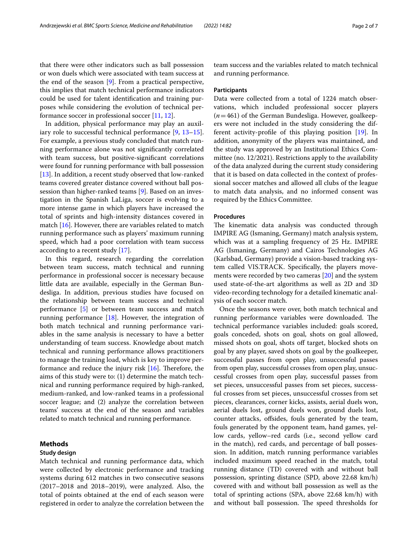that there were other indicators such as ball possession or won duels which were associated with team success at the end of the season [[9\]](#page-6-5). From a practical perspective, this implies that match technical performance indicators could be used for talent identifcation and training purposes while considering the evolution of technical performance soccer in professional soccer [[11,](#page-6-7) [12\]](#page-6-8).

In addition, physical performance may play an auxiliary role to successful technical performance [\[9](#page-6-5), [13](#page-6-9)[–15](#page-6-10)]. For example, a previous study concluded that match running performance alone was not signifcantly correlated with team success, but positive-signifcant correlations were found for running performance with ball possession [[13\]](#page-6-9). In addition, a recent study observed that low-ranked teams covered greater distance covered without ball possession than higher-ranked teams [\[9](#page-6-5)]. Based on an investigation in the Spanish LaLiga, soccer is evolving to a more intense game in which players have increased the total of sprints and high-intensity distances covered in match [[16\]](#page-6-11). However, there are variables related to match running performance such as players' maximum running speed, which had a poor correlation with team success according to a recent study [\[17\]](#page-6-12).

In this regard, research regarding the correlation between team success, match technical and running performance in professional soccer is necessary because little data are available, especially in the German Bundesliga. In addition, previous studies have focused on the relationship between team success and technical performance [\[5](#page-6-4)] or between team success and match running performance [[18\]](#page-6-13). However, the integration of both match technical and running performance variables in the same analysis is necessary to have a better understanding of team success. Knowledge about match technical and running performance allows practitioners to manage the training load, which is key to improve performance and reduce the injury risk  $[16]$  $[16]$ . Therefore, the aims of this study were to: (1) determine the match technical and running performance required by high-ranked, medium-ranked, and low-ranked teams in a professional soccer league; and (2) analyze the correlation between teams' success at the end of the season and variables related to match technical and running performance.

#### **Methods**

#### **Study design**

Match technical and running performance data, which were collected by electronic performance and tracking systems during 612 matches in two consecutive seasons (2017–2018 and 2018–2019), were analyzed. Also, the total of points obtained at the end of each season were registered in order to analyze the correlation between the team success and the variables related to match technical and running performance.

#### **Participants**

Data were collected from a total of 1224 match observations, which included professional soccer players (*n*=461) of the German Bundesliga. However, goalkeepers were not included in the study considering the different activity-profle of this playing position [\[19](#page-6-14)]. In addition, anonymity of the players was maintained, and the study was approved by an Institutional Ethics Committee (no. 12/2021). Restrictions apply to the availability of the data analyzed during the current study considering that it is based on data collected in the context of professional soccer matches and allowed all clubs of the league to match data analysis, and no informed consent was required by the Ethics Committee.

#### **Procedures**

The kinematic data analysis was conducted through IMPIRE AG (Ismaning, Germany) match analysis system, which was at a sampling frequency of 25 Hz. IMPIRE AG (Ismaning, Germany) and Cairos Technologies AG (Karlsbad, Germany) provide a vision-based tracking system called VIS.TRACK. Specifcally, the players movements were recorded by two cameras [\[20](#page-6-15)] and the system used state-of-the-art algorithms as well as 2D and 3D video-recording technology for a detailed kinematic analysis of each soccer match.

Once the seasons were over, both match technical and running performance variables were downloaded. The technical performance variables included: goals scored, goals conceded, shots on goal, shots on goal allowed, missed shots on goal, shots of target, blocked shots on goal by any player, saved shots on goal by the goalkeeper, successful passes from open play, unsuccessful passes from open play, successful crosses from open play, unsuccessful crosses from open play, successful passes from set pieces, unsuccessful passes from set pieces, successful crosses from set pieces, unsuccessful crosses from set pieces, clearances, corner kicks, assists, aerial duels won, aerial duels lost, ground duels won, ground duels lost, counter attacks, offsides, fouls generated by the team, fouls generated by the opponent team, hand games, yellow cards, yellow–red cards (i.e., second yellow card in the match), red cards, and percentage of ball possession. In addition, match running performance variables included maximum speed reached in the match, total running distance (TD) covered with and without ball possession, sprinting distance (SPD, above 22.68 km/h) covered with and without ball possession as well as the total of sprinting actions (SPA, above 22.68 km/h) with and without ball possession. The speed thresholds for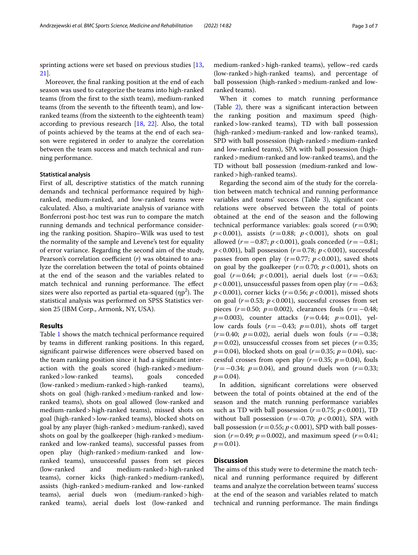sprinting actions were set based on previous studies [\[13](#page-6-9), [21\]](#page-6-16).

Moreover, the fnal ranking position at the end of each season was used to categorize the teams into high-ranked teams (from the frst to the sixth team), medium-ranked teams (from the seventh to the ffteenth team), and lowranked teams (from the sixteenth to the eighteenth team) according to previous research [\[18](#page-6-13), [22](#page-6-17)]. Also, the total of points achieved by the teams at the end of each season were registered in order to analyze the correlation between the team success and match technical and running performance.

#### **Statistical analysis**

First of all, descriptive statistics of the match running demands and technical performance required by highranked, medium-ranked, and low-ranked teams were calculated. Also, a multivariate analysis of variance with Bonferroni post-hoc test was run to compare the match running demands and technical performance considering the ranking position. Shapiro–Wilk was used to test the normality of the sample and Levene's test for equality of error variance. Regarding the second aim of the study, Pearson's correlation coefficient  $(r)$  was obtained to analyze the correlation between the total of points obtained at the end of the season and the variables related to match technical and running performance. The effect sizes were also reported as partial eta-squared (η $p^2$ ). The statistical analysis was performed on SPSS Statistics version 25 (IBM Corp., Armonk, NY, USA).

#### **Results**

Table [1](#page-3-0) shows the match technical performance required by teams in diferent ranking positions. In this regard, signifcant pairwise diferences were observed based on the team ranking position since it had a signifcant interaction with the goals scored (high-ranked>mediumranked>low-ranked teams), goals conceded (low-ranked > medium-ranked > high-ranked teams), shots on goal (high-ranked>medium-ranked and lowranked teams), shots on goal allowed (low-ranked and medium-ranked>high-ranked teams), missed shots on goal (high-ranked>low-ranked teams), blocked shots on goal by any player (high-ranked>medium-ranked), saved shots on goal by the goalkeeper (high-ranked > mediumranked and low-ranked teams), successful passes from open play (high-ranked>medium-ranked and lowranked teams), unsuccessful passes from set pieces (low-ranked and medium-ranked>high-ranked teams), corner kicks (high-ranked>medium-ranked), assists (high-ranked>medium-ranked and low-ranked teams), aerial duels won (medium-ranked>highranked teams), aerial duels lost (low-ranked and medium-ranked>high-ranked teams), yellow–red cards (low-ranked>high-ranked teams), and percentage of ball possession (high-ranked > medium-ranked and lowranked teams).

When it comes to match running performance (Table [2](#page-3-1)), there was a signifcant interaction between the ranking position and maximum speed (highranked>low-ranked teams), TD with ball possession (high-ranked>medium-ranked and low-ranked teams), SPD with ball possession (high-ranked > medium-ranked and low-ranked teams), SPA with ball possession (highranked>medium-ranked and low-ranked teams), and the TD without ball possession (medium-ranked and lowranked>high-ranked teams).

Regarding the second aim of the study for the correlation between match technical and running performance variables and teams' success (Table [3](#page-4-0)), significant correlations were observed between the total of points obtained at the end of the season and the following technical performance variables: goals scored (*r*=0.90; *p*<0.001), assists (*r*=0.88; *p*<0.001), shots on goal allowed (*r*=−0.87; *p*<0.001), goals conceded (*r*=−0.81; *p*<0.001), ball possession (*r*=0.78; *p*<0.001), successful passes from open play  $(r=0.77; p<0.001)$ , saved shots on goal by the goalkeeper  $(r=0.70; p<0.001)$ , shots on goal (*r*=0.64; *p*<0.001), aerial duels lost (*r*=−0.63; *p*<0.001), unsuccessful passes from open play (*r*=−0.63; *p*<0.001), corner kicks (*r*=0.56; *p*<0.001), missed shots on goal  $(r=0.53; p<0.001)$ , successful crosses from set pieces (*r*=0.50; *p*=0.002), clearances fouls (*r*=−0.48; *p*=0.003), counter attacks (*r*=0.44; *p*=0.01), yellow cards fouls  $(r=-0.43; p=0.01)$ , shots off target (*r*=0.40; *p*=0.02), aerial duels won fouls (*r*=−0.38;  $p=0.02$ ), unsuccessful crosses from set pieces ( $r=0.35$ ;  $p = 0.04$ ), blocked shots on goal ( $r = 0.35$ ;  $p = 0.04$ ), successful crosses from open play  $(r=0.35; p=0.04)$ , fouls (*r*=−0.34; *p*=0.04), and ground duels won (*r*=0.33;  $p = 0.04$ ).

In addition, signifcant correlations were observed between the total of points obtained at the end of the season and the match running performance variables such as TD with ball possession  $(r=0.75; p<0.001)$ , TD without ball possession  $(r = -0.70; p < 0.001)$ , SPA with ball possession  $(r=0.55; p<0.001)$ , SPD with ball possession ( $r = 0.49$ ;  $p = 0.002$ ), and maximum speed ( $r = 0.41$ ;  $p = 0.01$ ).

## **Discussion**

The aims of this study were to determine the match technical and running performance required by diferent teams and analyze the correlation between teams' success at the end of the season and variables related to match technical and running performance. The main findings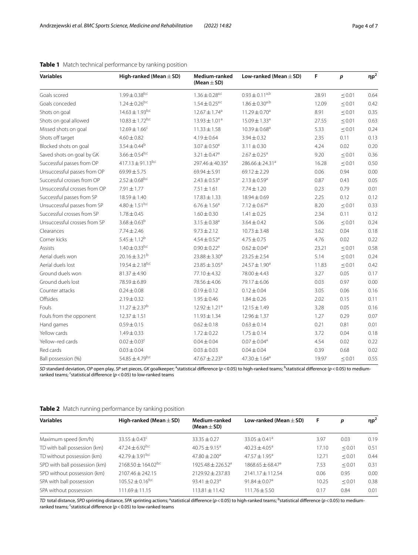| <b>Variables</b>             | High-ranked (Mean $\pm$ SD)     | Medium-ranked<br>(Mean $\pm$ SD) | Low-ranked (Mean $\pm$ SD)      | F     | $\boldsymbol{p}$ | $\eta p^2$ |
|------------------------------|---------------------------------|----------------------------------|---------------------------------|-------|------------------|------------|
| Goals scored                 | $1.99 \pm 0.38^{b,c}$           | $1.36 \pm 0.28$ <sup>a,c</sup>   | $0.93 \pm 0.11^{a,b}$           | 28.91 | $\leq 0.01$      | 0.64       |
| Goals conceded               | $1.24 \pm 0.26^{b.c}$           | $1.54 \pm 0.25$ <sup>a.c</sup>   | $1.86 \pm 0.30^{a.b}$           | 12.09 | $\leq 0.01$      | 0.42       |
| Shots on goal                | $14.63 \pm 1.93^{b,c}$          | $12.67 \pm 1.74^a$               | $11.29 \pm 0.70$ <sup>a</sup>   | 8.91  | $\leq 0.01$      | 0.35       |
| Shots on goal allowed        | $10.83 \pm 1.72^{b,c}$          | $13.93 \pm 1.01^a$               | 15.09 ± 1.33 <sup>a</sup>       | 27.55 | $\leq 0.01$      | 0.63       |
| Missed shots on goal         | $12.69 \pm 1.66^c$              | $11.33 \pm 1.58$                 | $10.39 \pm 0.68$ <sup>a</sup>   | 5.33  | $\leq 0.01$      | 0.24       |
| Shots off target             | $4.60 \pm 0.82$                 | $4.19 \pm 0.64$                  | $3.94 \pm 0.32$                 | 2.35  | 0.11             | 0.13       |
| Blocked shots on goal        | $3.54 \pm 0.44^b$               | $3.07 \pm 0.50$ <sup>a</sup>     | $3.11 \pm 0.30$                 | 4.24  | 0.02             | 0.20       |
| Saved shots on goal by GK    | $3.66 \pm 0.54^{b,c}$           | $3.21 \pm 0.47$ <sup>a</sup>     | $2.67 \pm 0.25$ <sup>a</sup>    | 9.20  | $\leq 0.01$      | 0.36       |
| Successful passes from OP    | $417.13 \pm 91.13^{b,c}$        | 297.46 ± 40.35 <sup>a</sup>      | 286.66 $\pm$ 24.31 <sup>a</sup> | 16.28 | $\leq 0.01$      | 0.50       |
| Unsuccessful passes from OP  | $69.99 \pm 5.75$                | $69.94 \pm 5.91$                 | $69.12 \pm 2.29$                | 0.06  | 0.94             | 0.00       |
| Successful crosses from OP   | $2.52 \pm 0.68^{b,c}$           | $2.43 \pm 0.53$ <sup>a</sup>     | $2.13 \pm 0.59$ <sup>a</sup>    | 0.87  | 0.43             | 0.05       |
| Unsuccessful crosses from OP | $7.91 \pm 1.77$                 | $7.51 \pm 1.61$                  | $7.74 \pm 1.20$                 | 0.23  | 0.79             | 0.01       |
| Successful passes from SP    | 18.59±1.40                      | $17.83 \pm 1.33$                 | $18.94 \pm 0.69$                | 2.25  | 0.12             | 0.12       |
| Unsuccessful passes from SP  | $4.80 \pm 1.51^{b,c}$           | $6.76 \pm 1.56^a$                | $7.12 \pm 0.67$ <sup>a</sup>    | 8.20  | $\leq 0.01$      | 0.33       |
| Successful crosses from SP   | $1.78 \pm 0.45$                 | $1.60 \pm 0.30$                  | $1.41 \pm 0.25$                 | 2.34  | 0.11             | 0.12       |
| Unsuccessful crosses from SP | $3.68 \pm 0.63^b$               | $3.15 \pm 0.38$ <sup>a</sup>     | $3.64 \pm 0.42$                 | 5.06  | $\leq 0.01$      | 0.24       |
| Clearances                   | $7.74 \pm 2.46$                 | $9.73 \pm 2.12$                  | $10.73 \pm 3.48$                | 3.62  | 0.04             | 0.18       |
| Corner kicks                 | $5.45 \pm 1.12^{b}$             | $4.54 \pm 0.52$ <sup>a</sup>     | $4.75 \pm 0.75$                 | 4.76  | 0.02             | 0.22       |
| Assists                      | $1.40 \pm 0.33^{b,c}$           | $0.90 \pm 0.22$ <sup>a</sup>     | $0.62 \pm 0.04$ <sup>a</sup>    | 23.21 | $\leq 0.01$      | 0.58       |
| Aerial duels won             | $20.16 \pm 3.21^{\rm b}$        | $23.88 \pm 3.30^a$               | $23.25 \pm 2.54$                | 5.14  | $\leq 0.01$      | 0.24       |
| Aerial duels lost            | $19.54 \pm 2.18^{b,c}$          | $23.85 \pm 3.05^a$               | $24.57 \pm 1.90^a$              | 11.83 | $\leq 0.01$      | 0.42       |
| Ground duels won             | $81.37 \pm 4.90$                | 77.10 ± 4.32                     | 78.00 ± 4.43                    | 3.27  | 0.05             | 0.17       |
| Ground duels lost            | 78.59 ± 6.89                    | 78.56 ± 4.06                     | 79.17 ± 6.06                    | 0.03  | 0.97             | 0.00       |
| Counter attacks              | $0.24 \pm 0.08$                 | $0.19 \pm 0.12$                  | $0.12 \pm 0.04$                 | 3.05  | 0.06             | 0.16       |
| Offsides                     | $2.19 \pm 0.32$                 | $1.95 \pm 0.46$                  | $1.84 \pm 0.26$                 | 2.02  | 0.15             | 0.11       |
| Fouls                        | $11.27 \pm 2.37$ <sup>b</sup>   | $12.92 \pm 1.21^a$               | $12.15 \pm 1.49$                | 3.28  | 0.05             | 0.16       |
| Fouls from the opponent      | $12.37 \pm 1.51$                | $11.93 \pm 1.34$                 | $12.96 \pm 1.37$                | 1.27  | 0.29             | 0.07       |
| Hand games                   | $0.59 \pm 0.15$                 | $0.62 \pm 0.18$                  | $0.63 \pm 0.14$                 | 0.21  | 0.81             | 0.01       |
| Yellow cards                 | $1.49 \pm 0.33$                 | $1.72 \pm 0.22$                  | $1.75 \pm 0.14$                 | 3.72  | 0.04             | 0.18       |
| Yellow-red cards             | $0.02 \pm 0.03^c$               | $0.04 \pm 0.04$                  | $0.07\pm0.04^{\rm a}$           | 4.54  | 0.02             | 0.22       |
| Red cards                    | $0.03 \pm 0.04$                 | $0.03 \pm 0.03$                  | $0.04 \pm 0.04$                 | 0.39  | 0.68             | 0.02       |
| Ball possession (%)          | 54.85 $\pm$ 4.79 <sup>b,c</sup> | $47.67 \pm 2.23$ <sup>a</sup>    | $47.30 \pm 1.64^a$              | 19.97 | $\leq 0.01$      | 0.55       |

## <span id="page-3-0"></span>**Table 1** Match technical performance by ranking position

SD standard deviation, OP open play, SP set pieces, GK goalkeeper; <sup>a</sup>statistical difference (*p* < 0.05) to high-ranked teams; <sup>b</sup>statistical difference (*p* < 0.05) to mediumranked teams; <sup>c</sup>statistical difference ( $p$  < 0.05) to low-ranked teams

<span id="page-3-1"></span>

|  |  |  | Table 2 Match running performance by ranking position |  |  |  |
|--|--|--|-------------------------------------------------------|--|--|--|
|--|--|--|-------------------------------------------------------|--|--|--|

| <b>Variables</b>              | High-ranked (Mean $\pm$ SD)         | Medium-ranked<br>(Mean $\pm$ SD) | Low-ranked (Mean $\pm$ SD)       | F     | p      | $np^2$ |
|-------------------------------|-------------------------------------|----------------------------------|----------------------------------|-------|--------|--------|
| Maximum speed (km/h)          | $33.55 \pm 0.43^c$                  | $33.35 \pm 0.27$                 | $33.05 \pm 0.41$ <sup>a</sup>    | 3.97  | 0.03   | 0.19   |
| TD with ball possession (km)  | 47.24 $\pm$ 6.92 <sup>b,c</sup>     | $40.75 + 9.15^a$                 | $40.23 \pm 4.05^{\circ}$         | 17.10 | < 0.01 | 0.51   |
| TD without possession (km)    | $42.79 \pm 3.91^{\text{b,c}}$       | $47.80 \pm 2.00^a$               | $47.57 + 1.95^{\circ}$           | 12.71 | < 0.01 | 0.44   |
| SPD with ball possession (km) | $2168.50 \pm 164.02$ <sup>b,c</sup> | $1925.48 + 226.52a$              | $1868.65 \pm 68.47$ <sup>a</sup> | 7.53  | < 0.01 | 0.31   |
| SPD without possession (km)   | $2107.46 \pm 242.15$                | $2129.92 \pm 237.83$             | $2141.17 \pm 112.54$             | 0.06  | 0.95   | 0.00   |
| SPA with ball possession      | $105.52 \pm 0.16^{b,c}$             | 93.41 $\pm$ 0.23 <sup>a</sup>    | 91.84 $\pm$ 0.07 <sup>a</sup>    | 10.25 | < 0.01 | 0.38   |
| SPA without possession        | $111.69 + 11.15$                    | $113.81 \pm 11.42$               | $11.76 \pm 5.50$                 | 0.17  | 0.84   | 0.01   |
|                               |                                     |                                  |                                  |       |        |        |

TD total distance, SPD sprinting distance, SPA sprinting actions; <sup>a</sup>statistical difference (*p* < 0.05) to high-ranked teams; <sup>b</sup>statistical difference (*p* < 0.05) to mediumranked teams; <sup>c</sup>statistical difference (*p* < 0.05) to low-ranked teams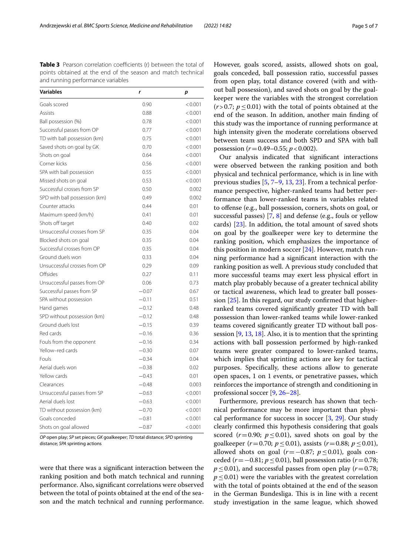<span id="page-4-0"></span>**Table 3** Pearson correlation coefficients (r) between the total of points obtained at the end of the season and match technical and running performance variables

| <b>Variables</b>              | r       | р       |
|-------------------------------|---------|---------|
| Goals scored                  | 0.90    | < 0.001 |
| Assists                       | 0.88    | < 0.001 |
| Ball possession (%)           | 0.78    | < 0.001 |
| Successful passes from OP     | 0.77    | < 0.001 |
| TD with ball possession (km)  | 0.75    | < 0.001 |
| Saved shots on goal by GK     | 0.70    | < 0.001 |
| Shots on goal                 | 0.64    | < 0.001 |
| Corner kicks                  | 0.56    | < 0.001 |
| SPA with ball possession      | 0.55    | < 0.001 |
| Missed shots on goal          | 0.53    | < 0.001 |
| Successful crosses from SP    | 0.50    | 0.002   |
| SPD with ball possession (km) | 0.49    | 0.002   |
| Counter attacks               | 0.44    | 0.01    |
| Maximum speed (km/h)          | 0.41    | 0.01    |
| Shots off target              | 0.40    | 0.02    |
| Unsuccessful crosses from SP  | 0.35    | 0.04    |
| Blocked shots on goal         | 0.35    | 0.04    |
| Successful crosses from OP    | 0.35    | 0.04    |
| Ground duels won              | 0.33    | 0.04    |
| Unsuccessful crosses from OP  | 0.29    | 0.09    |
| Offsides                      | 0.27    | 0.11    |
| Unsuccessful passes from OP   | 0.06    | 0.73    |
| Successful passes from SP     | $-0.07$ | 0.67    |
| SPA without possession        | $-0.11$ | 0.51    |
| Hand games                    | $-0.12$ | 0.48    |
| SPD without possession (km)   | $-0.12$ | 0.48    |
| Ground duels lost             | $-0.15$ | 0.39    |
| Red cards                     | $-0.16$ | 0.36    |
| Fouls from the opponent       | $-0.16$ | 0.34    |
| Yellow-red cards              | $-0.30$ | 0.07    |
| Fouls                         | $-0.34$ | 0.04    |
| Aerial duels won              | $-0.38$ | 0.02    |
| Yellow cards                  | $-0.43$ | 0.01    |
| Clearances                    | $-0.48$ | 0.003   |
| Unsuccessful passes from SP   | $-0.63$ | < 0.001 |
| Aerial duels lost             | $-0.63$ | < 0.001 |
| TD without possession (km)    | $-0.70$ | < 0.001 |
| Goals conceded                | $-0.81$ | < 0.001 |
| Shots on goal allowed         | $-0.87$ | < 0.001 |

*OP* open play; *SP* set pieces; *GK* goalkeeper; *TD* total distance; *SPD* sprinting distance; *SPA* sprinting actions

were that there was a signifcant interaction between the ranking position and both match technical and running performance. Also, signifcant correlations were observed between the total of points obtained at the end of the season and the match technical and running performance. However, goals scored, assists, allowed shots on goal, goals conceded, ball possession ratio, successful passes from open play, total distance covered (with and without ball possession), and saved shots on goal by the goalkeeper were the variables with the strongest correlation  $(r>0.7; p \leq 0.01)$  with the total of points obtained at the end of the season. In addition, another main fnding of this study was the importance of running performance at high intensity given the moderate correlations observed between team success and both SPD and SPA with ball possession ( $r = 0.49 - 0.55$ ;  $p < 0.002$ ).

Our analysis indicated that signifcant interactions were observed between the ranking position and both physical and technical performance, which is in line with previous studies [[5](#page-6-4), [7](#page-6-18)–[9,](#page-6-5) [13](#page-6-9), [23\]](#page-6-19). From a technical performance perspective, higher-ranked teams had better performance than lower-ranked teams in variables related to ofense (e.g., ball possession, corners, shots on goal, or successful passes) [[7,](#page-6-18) [8](#page-6-20)] and defense (e.g., fouls or yellow cards) [\[23](#page-6-19)]. In addition, the total amount of saved shots on goal by the goalkeeper were key to determine the ranking position, which emphasizes the importance of this position in modern soccer [\[24](#page-6-21)]. However, match running performance had a signifcant interaction with the ranking position as well. A previous study concluded that more successful teams may exert less physical efort in match play probably because of a greater technical ability or tactical awareness, which lead to greater ball possession [\[25](#page-6-22)]. In this regard, our study confrmed that higherranked teams covered signifcantly greater TD with ball possession than lower-ranked teams while lower-ranked teams covered signifcantly greater TD without ball possession [\[9](#page-6-5), [13,](#page-6-9) [18\]](#page-6-13). Also, it is to mention that the sprinting actions with ball possession performed by high-ranked teams were greater compared to lower-ranked teams, which implies that sprinting actions are key for tactical purposes. Specifcally, these actions allow to generate open spaces, 1 on 1 events, or penetrative passes, which reinforces the importance of strength and conditioning in professional soccer [[9,](#page-6-5) [26](#page-6-23)[–28\]](#page-6-24).

Furthermore, previous research has shown that technical performance may be more important than physical performance for success in soccer [\[3](#page-6-2), [29\]](#page-6-25). Our study clearly confrmed this hypothesis considering that goals scored ( $r=0.90$ ;  $p \le 0.01$ ), saved shots on goal by the goalkeeper (*r* = 0.70;  $p \le 0.01$ ), assists (*r* = 0.88;  $p \le 0.01$ ), allowed shots on goal  $(r=-0.87; p \le 0.01)$ , goals conceded (*r*=−0.81; *p*≤0.01), ball possession ratio (*r*=0.78;  $p \leq 0.01$ ), and successful passes from open play ( $r = 0.78$ ; *p* ≤ 0.01) were the variables with the greatest correlation with the total of points obtained at the end of the season in the German Bundesliga. This is in line with a recent study investigation in the same league, which showed

Andrzejewski *et al. BMC Sports Science, Medicine and Rehabilitation (2022) 14:82* Page 5 of 7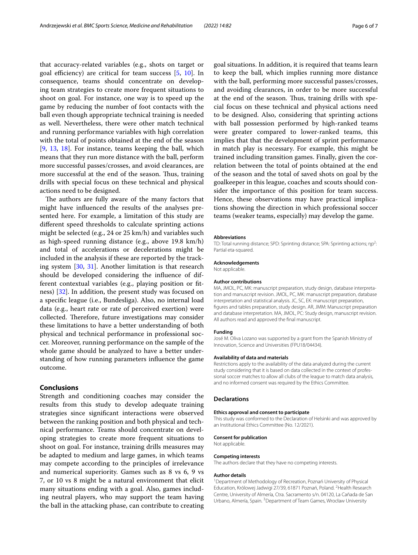that accuracy-related variables (e.g., shots on target or goal efficiency) are critical for team success  $[5, 10]$  $[5, 10]$  $[5, 10]$  $[5, 10]$ . In consequence, teams should concentrate on developing team strategies to create more frequent situations to shoot on goal. For instance, one way is to speed up the game by reducing the number of foot contacts with the ball even though appropriate technical training is needed as well. Nevertheless, there were other match technical and running performance variables with high correlation with the total of points obtained at the end of the season [[9,](#page-6-5) [13,](#page-6-9) [18\]](#page-6-13). For instance, teams keeping the ball, which means that they run more distance with the ball, perform more successful passes/crosses, and avoid clearances, are more successful at the end of the season. Thus, training drills with special focus on these technical and physical actions need to be designed.

The authors are fully aware of the many factors that might have infuenced the results of the analyses presented here. For example, a limitation of this study are diferent speed thresholds to calculate sprinting actions might be selected (e.g., 24 or 25 km/h) and variables such as high-speed running distance (e.g., above 19.8 km/h) and total of accelerations or decelerations might be included in the analysis if these are reported by the tracking system [\[30](#page-6-26), [31](#page-6-27)]. Another limitation is that research should be developed considering the infuence of different contextual variables (e.g., playing position or ftness) [[32](#page-6-28)]. In addition, the present study was focused on a specifc league (i.e., Bundesliga). Also, no internal load data (e.g., heart rate or rate of perceived exertion) were collected. Therefore, future investigations may consider these limitations to have a better understanding of both physical and technical performance in professional soccer. Moreover, running performance on the sample of the whole game should be analyzed to have a better understanding of how running parameters infuence the game outcome.

#### **Conclusions**

Strength and conditioning coaches may consider the results from this study to develop adequate training strategies since signifcant interactions were observed between the ranking position and both physical and technical performance. Teams should concentrate on developing strategies to create more frequent situations to shoot on goal. For instance, training drills measures may be adapted to medium and large games, in which teams may compete according to the principles of irrelevance and numerical superiority. Games such as 8 vs 6, 9 vs 7, or 10 vs 8 might be a natural environment that elicit many situations ending with a goal. Also, games including neutral players, who may support the team having the ball in the attacking phase, can contribute to creating goal situations. In addition, it is required that teams learn to keep the ball, which implies running more distance with the ball, performing more successful passes/crosses, and avoiding clearances, in order to be more successful at the end of the season. Thus, training drills with special focus on these technical and physical actions need to be designed. Also, considering that sprinting actions with ball possession performed by high-ranked teams were greater compared to lower-ranked teams, this implies that that the development of sprint performance in match play is necessary. For example, this might be trained including transition games. Finally, given the correlation between the total of points obtained at the end of the season and the total of saved shots on goal by the goalkeeper in this league, coaches and scouts should consider the importance of this position for team success. Hence, these observations may have practical implications showing the direction in which professional soccer teams (weaker teams, especially) may develop the game.

#### **Abbreviations**

TD: Total running distance; SPD: Sprinting distance; SPA: Sprinting actions;  $np^2$ : Partial eta-squared.

#### **Acknowledgements**

Not applicable.

#### **Author contributions**

MA, JMOL, PC, MK: manuscript preparation, study design, database interpretation and manuscript revision. JMOL, PC, MK: manuscript preparation, database interpretation and statistical analysis. JC, SC, EK: manuscript preparation, fgures and tables preparation, study design. AR, JMM: Manuscript preparation and database interpretation. MA, JMOL, PC: Study design, manuscript revision. All authors read and approved the fnal manuscript.

#### **Funding**

José M. Oliva Lozano was supported by a grant from the Spanish Ministry of Innovation, Science and Universities (FPU18/04434).

#### **Availability of data and materials**

Restrictions apply to the availability of the data analyzed during the current study considering that it is based on data collected in the context of professional soccer matches to allow all clubs of the league to match data analysis, and no informed consent was required by the Ethics Committee.

#### **Declarations**

#### **Ethics approval and consent to participate**

This study was conformed to the Declaration of Helsinki and was approved by an Institutional Ethics Committee (No. 12/2021).

#### **Consent for publication**

Not applicable.

#### **Competing interests**

The authors declare that they have no competing interests.

#### **Author details**

<sup>1</sup> Department of Methodology of Recreation, Poznań University of Physical Education, Królowej Jadwigi 27/39, 61871 Poznań, Poland. <sup>2</sup> Health Research Centre, University of Almería, Ctra. Sacramento s/n. 04120, La Cañada de San Urbano, Almería, Spain. <sup>3</sup> Department of Team Games, Wrocław University